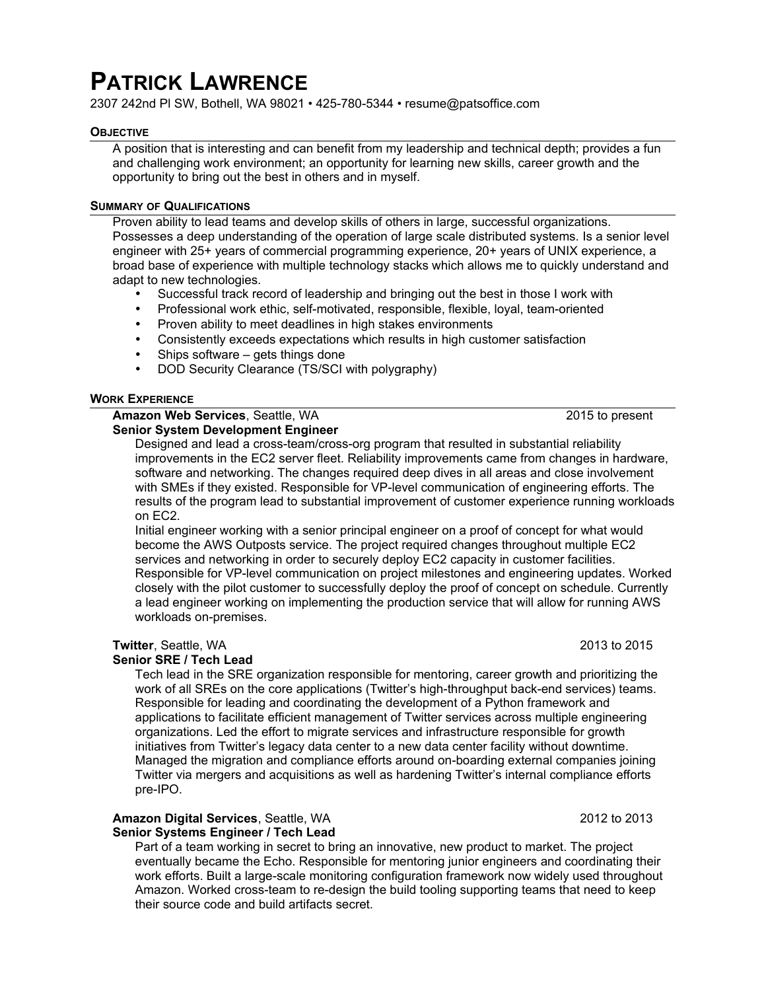# **PATRICK LAWRENCE**

2307 242nd Pl SW, Bothell, WA 98021 • 425-780-5344 • resume@patsoffice.com

#### **OBJECTIVE**

A position that is interesting and can benefit from my leadership and technical depth; provides a fun and challenging work environment; an opportunity for learning new skills, career growth and the opportunity to bring out the best in others and in myself.

#### **SUMMARY OF QUALIFICATIONS**

Proven ability to lead teams and develop skills of others in large, successful organizations. Possesses a deep understanding of the operation of large scale distributed systems. Is a senior level engineer with 25+ years of commercial programming experience, 20+ years of UNIX experience, a broad base of experience with multiple technology stacks which allows me to quickly understand and adapt to new technologies.

- Successful track record of leadership and bringing out the best in those I work with
- Professional work ethic, self-motivated, responsible, flexible, loyal, team-oriented
- Proven ability to meet deadlines in high stakes environments
- Consistently exceeds expectations which results in high customer satisfaction
- Ships software gets things done
- DOD Security Clearance (TS/SCI with polygraphy)

#### **WORK EXPERIENCE**

# **Amazon Web Services**, Seattle, WA 2015 to present

# **Senior System Development Engineer**

Designed and lead a cross-team/cross-org program that resulted in substantial reliability improvements in the EC2 server fleet. Reliability improvements came from changes in hardware, software and networking. The changes required deep dives in all areas and close involvement with SMEs if they existed. Responsible for VP-level communication of engineering efforts. The results of the program lead to substantial improvement of customer experience running workloads on EC2.

Initial engineer working with a senior principal engineer on a proof of concept for what would become the AWS Outposts service. The project required changes throughout multiple EC2 services and networking in order to securely deploy EC2 capacity in customer facilities. Responsible for VP-level communication on project milestones and engineering updates. Worked closely with the pilot customer to successfully deploy the proof of concept on schedule. Currently a lead engineer working on implementing the production service that will allow for running AWS workloads on-premises.

# **Twitter**, Seattle, WA 2013 to 2015

# **Senior SRE / Tech Lead**

Tech lead in the SRE organization responsible for mentoring, career growth and prioritizing the work of all SREs on the core applications (Twitter's high-throughput back-end services) teams. Responsible for leading and coordinating the development of a Python framework and applications to facilitate efficient management of Twitter services across multiple engineering organizations. Led the effort to migrate services and infrastructure responsible for growth initiatives from Twitter's legacy data center to a new data center facility without downtime. Managed the migration and compliance efforts around on-boarding external companies joining Twitter via mergers and acquisitions as well as hardening Twitter's internal compliance efforts pre-IPO.

#### **Amazon Digital Services**, Seattle, WA 2012 to 2013 **Senior Systems Engineer / Tech Lead**

Part of a team working in secret to bring an innovative, new product to market. The project eventually became the Echo. Responsible for mentoring junior engineers and coordinating their work efforts. Built a large-scale monitoring configuration framework now widely used throughout Amazon. Worked cross-team to re-design the build tooling supporting teams that need to keep their source code and build artifacts secret.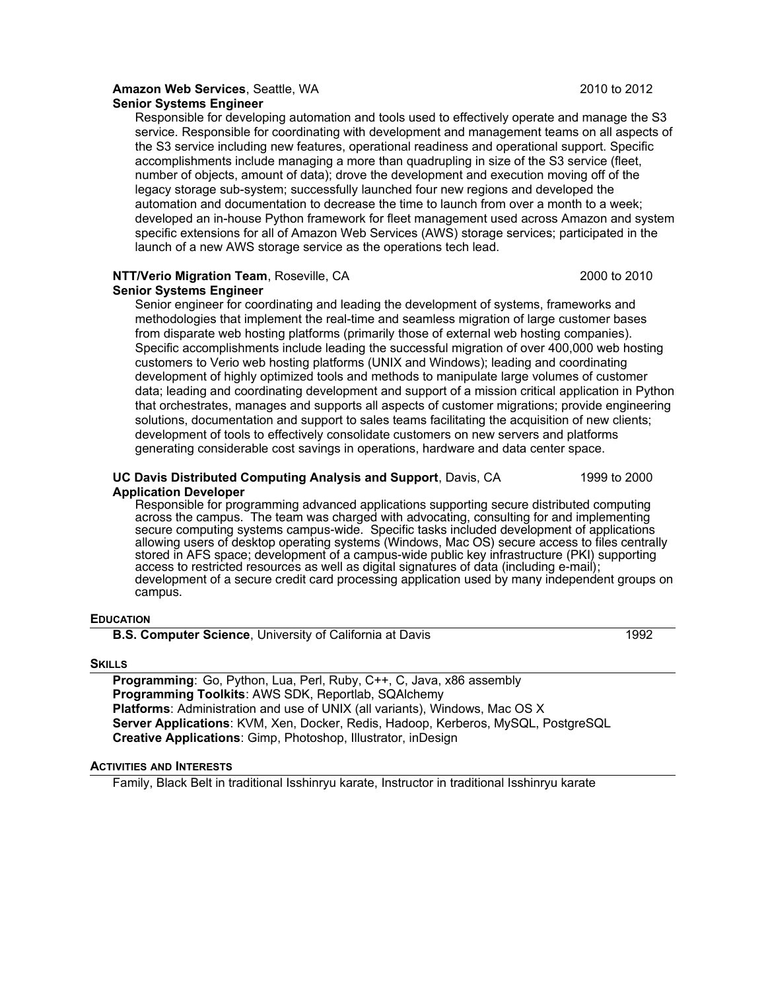# **Amazon Web Services**, Seattle, WA 2010 to 2012

**Senior Systems Engineer**

Responsible for developing automation and tools used to effectively operate and manage the S3 service. Responsible for coordinating with development and management teams on all aspects of the S3 service including new features, operational readiness and operational support. Specific accomplishments include managing a more than quadrupling in size of the S3 service (fleet, number of objects, amount of data); drove the development and execution moving off of the legacy storage sub-system; successfully launched four new regions and developed the automation and documentation to decrease the time to launch from over a month to a week; developed an in-house Python framework for fleet management used across Amazon and system specific extensions for all of Amazon Web Services (AWS) storage services; participated in the launch of a new AWS storage service as the operations tech lead.

# **NTT/Verio Migration Team**, Roseville, CA 2000 to 2010 2010

# **Senior Systems Engineer**

Senior engineer for coordinating and leading the development of systems, frameworks and methodologies that implement the real-time and seamless migration of large customer bases from disparate web hosting platforms (primarily those of external web hosting companies). Specific accomplishments include leading the successful migration of over 400,000 web hosting customers to Verio web hosting platforms (UNIX and Windows); leading and coordinating development of highly optimized tools and methods to manipulate large volumes of customer data; leading and coordinating development and support of a mission critical application in Python that orchestrates, manages and supports all aspects of customer migrations; provide engineering solutions, documentation and support to sales teams facilitating the acquisition of new clients; development of tools to effectively consolidate customers on new servers and platforms generating considerable cost savings in operations, hardware and data center space.

#### **UC Davis Distributed Computing Analysis and Support**, Davis, CA 1999 to 2000 **Application Developer**

Responsible for programming advanced applications supporting secure distributed computing across the campus. The team was charged with advocating, consulting for and implementing secure computing systems campus-wide. Specific tasks included development of applications allowing users of desktop operating systems (Windows, Mac OS) secure access to files centrally stored in AFS space; development of a campus-wide public key infrastructure (PKI) supporting access to restricted resources as well as digital signatures of data (including e-mail); development of a secure credit card processing application used by many independent groups on campus.

# **EDUCATION**

**B.S. Computer Science**, University of California at Davis 1992

# **SKILLS**

**Programming**: Go, Python, Lua, Perl, Ruby, C++, C, Java, x86 assembly **Programming Toolkits**: AWS SDK, Reportlab, SQAlchemy **Platforms**: Administration and use of UNIX (all variants), Windows, Mac OS X **Server Applications**: KVM, Xen, Docker, Redis, Hadoop, Kerberos, MySQL, PostgreSQL **Creative Applications**: Gimp, Photoshop, Illustrator, inDesign

# **ACTIVITIES AND INTERESTS**

Family, Black Belt in traditional Isshinryu karate, Instructor in traditional Isshinryu karate